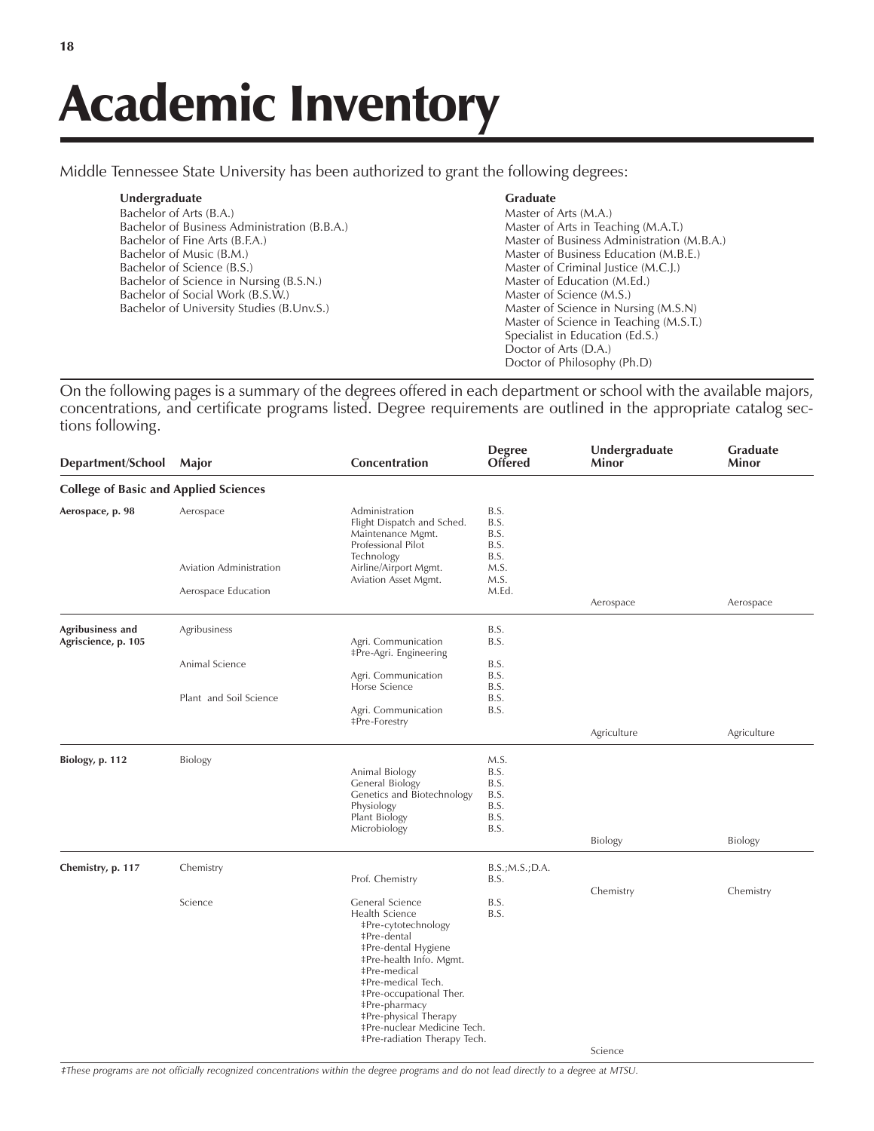Middle Tennessee State University has been authorized to grant the following degrees:

| Undergraduate                                | <b>Graduate</b>                            |
|----------------------------------------------|--------------------------------------------|
| Bachelor of Arts (B.A.)                      | Master of Arts (M.A.)                      |
| Bachelor of Business Administration (B.B.A.) | Master of Arts in Teaching (M.A.T.)        |
| Bachelor of Fine Arts (B.F.A.)               | Master of Business Administration (M.B.A.) |
| Bachelor of Music (B.M.)                     | Master of Business Education (M.B.E.)      |
| Bachelor of Science (B.S.)                   | Master of Criminal Justice (M.C.J.)        |
| Bachelor of Science in Nursing (B.S.N.)      | Master of Education (M.Ed.)                |
| Bachelor of Social Work (B.S.W.)             | Master of Science (M.S.)                   |
| Bachelor of University Studies (B.Unv.S.)    | Master of Science in Nursing (M.S.N)       |
|                                              | Master of Science in Teaching (M.S.T.)     |
|                                              | Specialist in Education (Ed.S.)            |
|                                              | Doctor of Arts (D.A.)                      |
|                                              | Doctor of Philosophy (Ph.D)                |

On the following pages is a summary of the degrees offered in each department or school with the available majors, concentrations, and certificate programs listed. Degree requirements are outlined in the appropriate catalog sections following.

| <b>College of Basic and Applied Sciences</b><br>Aerospace | Administration                                                                                                                                                                                                                                            |                                                                                                       |                                                                                     |                      |
|-----------------------------------------------------------|-----------------------------------------------------------------------------------------------------------------------------------------------------------------------------------------------------------------------------------------------------------|-------------------------------------------------------------------------------------------------------|-------------------------------------------------------------------------------------|----------------------|
|                                                           |                                                                                                                                                                                                                                                           |                                                                                                       |                                                                                     |                      |
|                                                           | Flight Dispatch and Sched.<br>Maintenance Mgmt.<br>Professional Pilot                                                                                                                                                                                     | B.S.<br>B.S.<br>B.S.<br>B.S.                                                                          |                                                                                     |                      |
| Aviation Administration                                   | Airline/Airport Mgmt.                                                                                                                                                                                                                                     | M.S.                                                                                                  |                                                                                     |                      |
| Aerospace Education                                       |                                                                                                                                                                                                                                                           | M.Ed.                                                                                                 | Aerospace                                                                           | Aerospace            |
| Agribusiness                                              | Agri. Communication                                                                                                                                                                                                                                       | B.S.<br>B.S.                                                                                          |                                                                                     |                      |
| Animal Science                                            | Agri. Communication                                                                                                                                                                                                                                       | B.S.<br>B.S.                                                                                          |                                                                                     |                      |
| Plant and Soil Science                                    | Agri. Communication                                                                                                                                                                                                                                       | B.S.<br>B.S.                                                                                          |                                                                                     |                      |
|                                                           |                                                                                                                                                                                                                                                           |                                                                                                       | Agriculture                                                                         | Agriculture          |
| Biology                                                   | Animal Biology<br><b>General Biology</b><br>Genetics and Biotechnology<br>Physiology<br>Plant Biology<br>Microbiology                                                                                                                                     | M.S.<br>B.S.<br>B.S.<br>B.S.<br>B.S.<br>B.S.<br>B.S.                                                  | <b>Biology</b>                                                                      | Biology              |
| Chemistry                                                 | Prof. Chemistry                                                                                                                                                                                                                                           | B.S.; M.S.; D.A.<br>B.S.                                                                              |                                                                                     |                      |
| Science                                                   | General Science<br>Health Science<br><b>‡Pre-cytotechnology</b><br><b>‡Pre-dental</b><br><b>‡Pre-dental Hygiene</b><br>‡Pre-health Info. Mgmt.<br>‡Pre-medical<br>#Pre-medical Tech.<br>‡Pre-occupational Ther.<br>#Pre-pharmacy<br>#Pre-physical Therapy | B.S.<br>B.S.                                                                                          |                                                                                     | Chemistry            |
|                                                           |                                                                                                                                                                                                                                                           | Technology<br>Aviation Asset Mgmt.<br>‡Pre-Agri. Engineering<br>Horse Science<br><b>‡Pre-Forestry</b> | B.S.<br>M.S.<br>B.S.<br>‡Pre-nuclear Medicine Tech.<br>‡Pre-radiation Therapy Tech. | Chemistry<br>Science |

*áThese programs are not officially recognized concentrations within the degree programs and do not lead directly to a degree at MTSU.*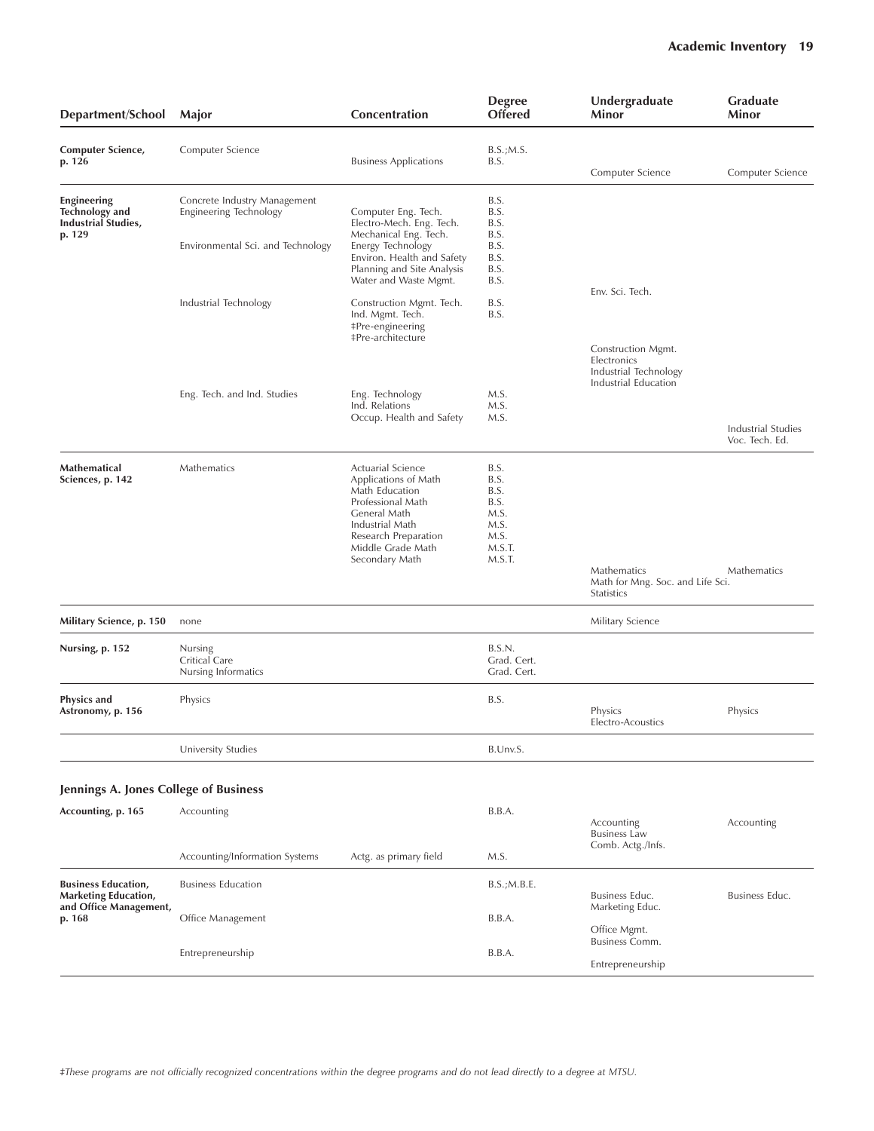| Department/School                                                            | Major                                                         | Concentration                                                                                                                                                    | <b>Degree</b><br><b>Offered</b>                                | Undergraduate<br>Minor                                                             | <b>Graduate</b><br>Minor             |
|------------------------------------------------------------------------------|---------------------------------------------------------------|------------------------------------------------------------------------------------------------------------------------------------------------------------------|----------------------------------------------------------------|------------------------------------------------------------------------------------|--------------------------------------|
| Computer Science,<br>p. 126                                                  | Computer Science                                              | <b>Business Applications</b>                                                                                                                                     | B.S.; M.S.<br>B.S.                                             | Computer Science                                                                   | Computer Science                     |
| Engineering<br><b>Technology</b> and<br><b>Industrial Studies,</b>           | Concrete Industry Management<br><b>Engineering Technology</b> | Computer Eng. Tech.<br>Electro-Mech. Eng. Tech.                                                                                                                  | B.S.<br>B.S.<br>B.S.                                           |                                                                                    |                                      |
| p. 129                                                                       | Environmental Sci. and Technology                             | Mechanical Eng. Tech.<br>Energy Technology<br>Environ. Health and Safety<br>Planning and Site Analysis<br>Water and Waste Mgmt.                                  | B.S.<br>B.S.<br>B.S.<br>B.S.<br>B.S.                           |                                                                                    |                                      |
|                                                                              | Industrial Technology                                         | Construction Mgmt. Tech.<br>Ind. Mgmt. Tech.<br>‡Pre-engineering<br><b>‡Pre-architecture</b>                                                                     | B.S.<br>B.S.                                                   | Env. Sci. Tech.                                                                    |                                      |
|                                                                              |                                                               |                                                                                                                                                                  |                                                                | Construction Mgmt.<br>Electronics<br>Industrial Technology<br>Industrial Education |                                      |
|                                                                              | Eng. Tech. and Ind. Studies                                   | Eng. Technology<br>Ind. Relations<br>Occup. Health and Safety                                                                                                    | M.S.<br>M.S.<br>M.S.                                           |                                                                                    | Industrial Studies<br>Voc. Tech. Ed. |
| Mathematical<br>Sciences, p. 142                                             | Mathematics                                                   | Actuarial Science<br>Applications of Math<br>Math Education<br>Professional Math<br>General Math<br>Industrial Math<br>Research Preparation<br>Middle Grade Math | B.S.<br>B.S.<br>B.S.<br>B.S.<br>M.S.<br>M.S.<br>M.S.<br>M.S.T. |                                                                                    |                                      |
|                                                                              |                                                               | Secondary Math                                                                                                                                                   | M.S.T.                                                         | Mathematics<br>Math for Mng. Soc. and Life Sci.<br>Statistics                      | Mathematics                          |
| Military Science, p. 150                                                     | none                                                          |                                                                                                                                                                  |                                                                | Military Science                                                                   |                                      |
| Nursing, p. 152                                                              | Nursing<br>Critical Care<br>Nursing Informatics               |                                                                                                                                                                  | B.S.N.<br>Grad. Cert.<br>Grad. Cert.                           |                                                                                    |                                      |
| <b>Physics and</b><br>Astronomy, p. 156                                      | Physics                                                       |                                                                                                                                                                  | B.S.                                                           | Physics<br>Electro-Acoustics                                                       | Physics                              |
|                                                                              | University Studies                                            |                                                                                                                                                                  | B.Unv.S.                                                       |                                                                                    |                                      |
| Jennings A. Jones College of Business                                        |                                                               |                                                                                                                                                                  |                                                                |                                                                                    |                                      |
| Accounting, p. 165                                                           | Accounting                                                    |                                                                                                                                                                  | B.B.A.                                                         | Accounting<br><b>Business Law</b>                                                  | Accounting                           |
|                                                                              | Accounting/Information Systems                                | Actg. as primary field                                                                                                                                           | M.S.                                                           | Comb. Actg./Infs.                                                                  |                                      |
| <b>Business Education,</b><br>Marketing Education,<br>and Office Management, | <b>Business Education</b>                                     |                                                                                                                                                                  | B.S.;M.B.E.                                                    | Business Educ.<br>Marketing Educ.                                                  | Business Educ.                       |
| p. 168                                                                       | Office Management                                             |                                                                                                                                                                  | B.B.A.                                                         | Office Mgmt.<br>Business Comm.                                                     |                                      |
|                                                                              | Entrepreneurship                                              |                                                                                                                                                                  | B.B.A.                                                         | Entrepreneurship                                                                   |                                      |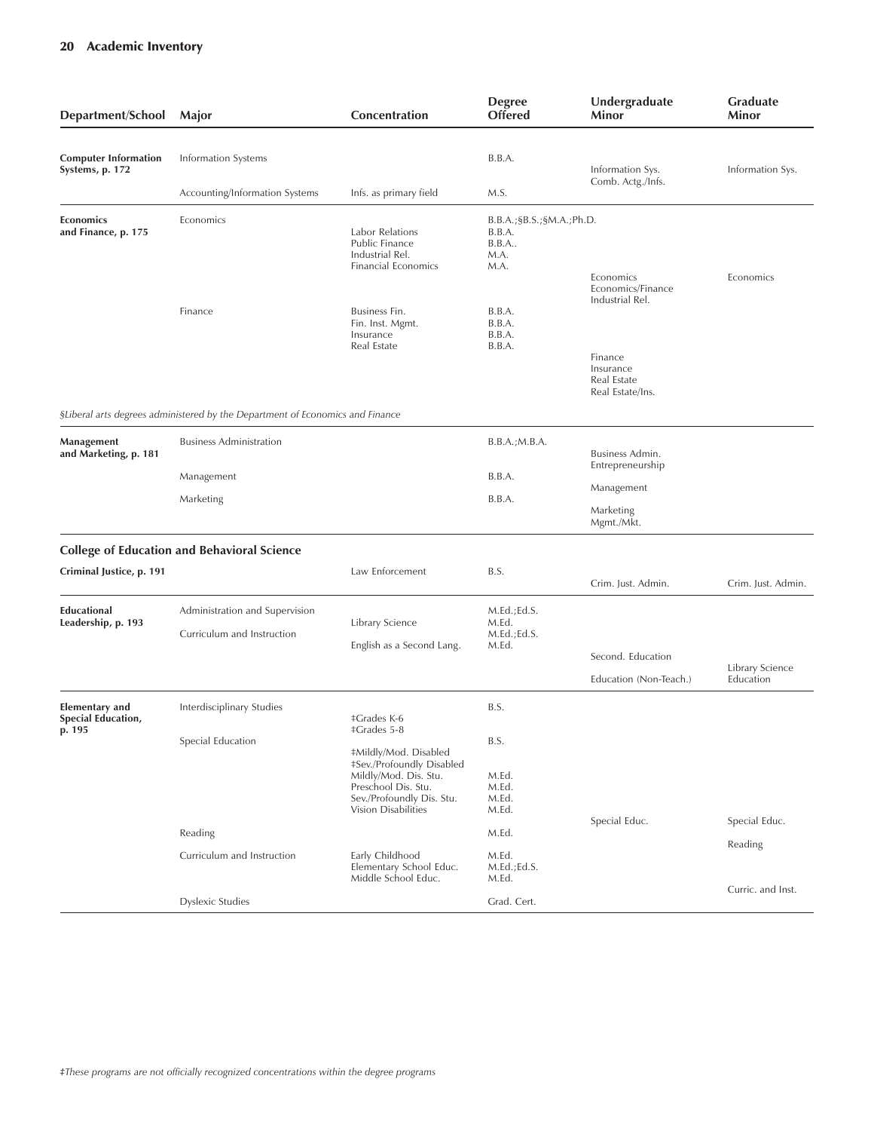| Department/School                                            | Major                                                                         | Concentration                                                                                                                                          | <b>Degree</b><br><b>Offered</b>                                   | Undergraduate<br>Minor                                                     | <b>Graduate</b><br>Minor     |
|--------------------------------------------------------------|-------------------------------------------------------------------------------|--------------------------------------------------------------------------------------------------------------------------------------------------------|-------------------------------------------------------------------|----------------------------------------------------------------------------|------------------------------|
| <b>Computer Information</b><br>Systems, p. 172               | Information Systems                                                           |                                                                                                                                                        | B.B.A.                                                            | Information Sys.                                                           | Information Sys.             |
|                                                              | Accounting/Information Systems                                                | Infs. as primary field                                                                                                                                 | M.S.                                                              | Comb. Actg./Infs.                                                          |                              |
| Economics<br>and Finance, p. 175                             | Economics                                                                     | <b>Labor Relations</b><br>Public Finance<br>Industrial Rel.<br><b>Financial Economics</b>                                                              | B.B.A.; \$B.S.; \$M.A.; Ph.D.<br>B.B.A.<br>B.B.A.<br>M.A.<br>M.A. | Economics<br>Economics/Finance                                             | Economics                    |
|                                                              | Finance                                                                       | Business Fin.<br>Fin. Inst. Mgmt.<br>Insurance<br>Real Estate                                                                                          | B.B.A.<br>B.B.A.<br>B.B.A.<br>B.B.A.                              | Industrial Rel.<br>Finance<br>Insurance<br>Real Estate<br>Real Estate/Ins. |                              |
|                                                              | SLiberal arts degrees administered by the Department of Economics and Finance |                                                                                                                                                        |                                                                   |                                                                            |                              |
| Management<br>and Marketing, p. 181                          | <b>Business Administration</b>                                                |                                                                                                                                                        | B.B.A.; M.B.A.                                                    | Business Admin.<br>Entrepreneurship                                        |                              |
|                                                              | Management                                                                    |                                                                                                                                                        | B.B.A.                                                            | Management                                                                 |                              |
|                                                              | Marketing                                                                     |                                                                                                                                                        | B.B.A.                                                            | Marketing<br>Mgmt./Mkt.                                                    |                              |
|                                                              | <b>College of Education and Behavioral Science</b>                            |                                                                                                                                                        |                                                                   |                                                                            |                              |
| Criminal Justice, p. 191                                     |                                                                               | Law Enforcement                                                                                                                                        | B.S.                                                              | Crim. Just. Admin.                                                         | Crim. Just. Admin.           |
| <b>Educational</b><br>Leadership, p. 193                     | Administration and Supervision<br>Curriculum and Instruction                  | Library Science<br>English as a Second Lang.                                                                                                           | M.Ed.; Ed.S.<br>M.Ed.<br>M.Ed.;Ed.S.<br>M.Ed.                     | Second. Education<br>Education (Non-Teach.)                                | Library Science<br>Education |
| <b>Elementary and</b><br><b>Special Education,</b><br>p. 195 | Interdisciplinary Studies                                                     | <b>‡Grades K-6</b><br>‡Grades 5-8                                                                                                                      | B.S.                                                              |                                                                            |                              |
|                                                              | Special Education                                                             | #Mildly/Mod. Disabled<br>#Sev./Profoundly Disabled<br>Mildly/Mod. Dis. Stu.<br>Preschool Dis. Stu.<br>Sev./Profoundly Dis. Stu.<br>Vision Disabilities | B.S.<br>M.Ed.<br>M.Ed.<br>M.Ed.<br>M.Ed.                          | Special Educ.                                                              | Special Educ.                |
|                                                              | Reading                                                                       |                                                                                                                                                        | M.Ed.                                                             |                                                                            |                              |
|                                                              | Curriculum and Instruction                                                    | Early Childhood<br>Elementary School Educ.<br>Middle School Educ.                                                                                      | M.Ed.<br>M.Ed.;Ed.S.<br>M.Ed.                                     |                                                                            | Reading                      |
|                                                              | <b>Dyslexic Studies</b>                                                       |                                                                                                                                                        | Grad. Cert.                                                       |                                                                            | Curric. and Inst.            |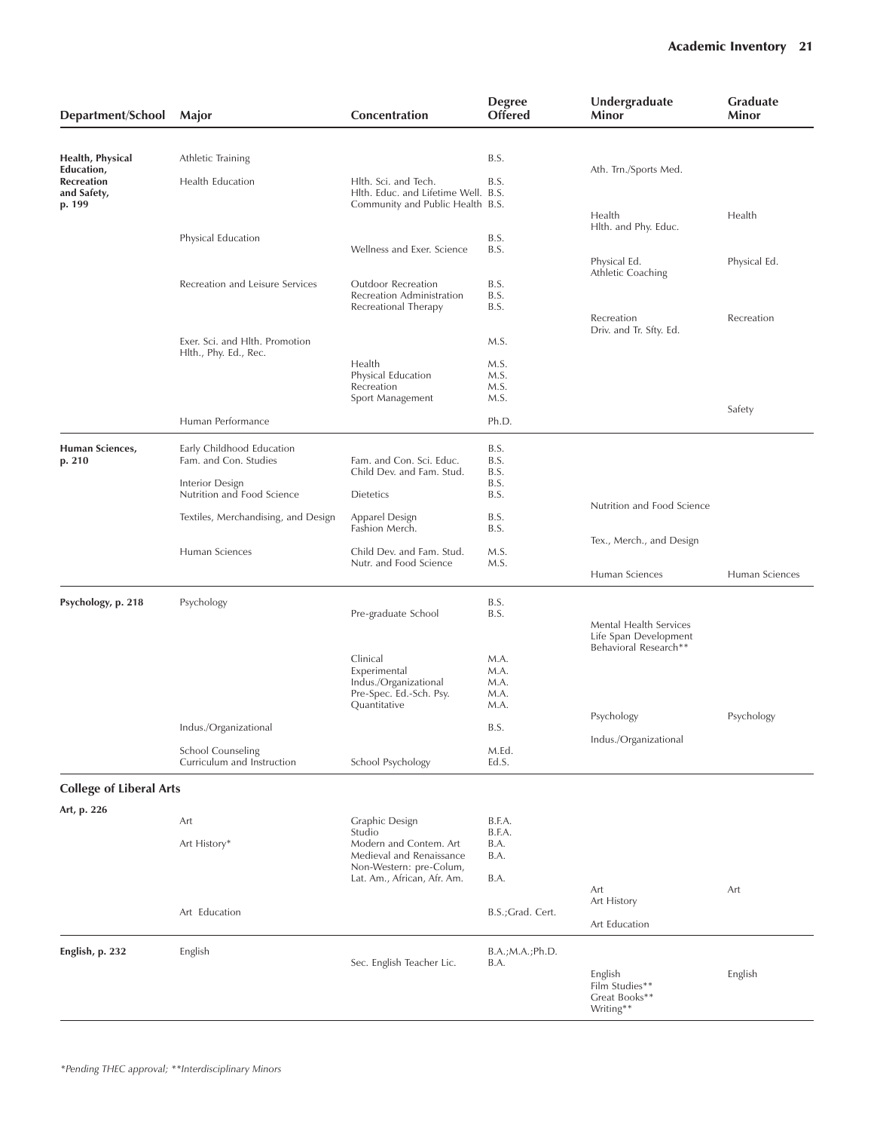| Department/School               | Major                                                   | Concentration                                         | <b>Degree</b><br><b>Offered</b> | Undergraduate<br>Minor                          | <b>Graduate</b><br>Minor |
|---------------------------------|---------------------------------------------------------|-------------------------------------------------------|---------------------------------|-------------------------------------------------|--------------------------|
|                                 |                                                         |                                                       |                                 |                                                 |                          |
| Health, Physical                | Athletic Training                                       |                                                       | B.S.                            |                                                 |                          |
| Education,<br><b>Recreation</b> | Health Education                                        | Hlth. Sci. and Tech.                                  | B.S.                            | Ath. Trn./Sports Med.                           |                          |
| and Safety,                     |                                                         | Hlth. Educ. and Lifetime Well. B.S.                   |                                 |                                                 |                          |
| p. 199                          |                                                         | Community and Public Health B.S.                      |                                 | Health                                          | Health                   |
|                                 |                                                         |                                                       |                                 | Hlth. and Phy. Educ.                            |                          |
|                                 | Physical Education                                      | Wellness and Exer. Science                            | B.S.<br>B.S.                    |                                                 |                          |
|                                 |                                                         |                                                       |                                 | Physical Ed.                                    | Physical Ed.             |
|                                 | Recreation and Leisure Services                         | Outdoor Recreation                                    | B.S.                            | Athletic Coaching                               |                          |
|                                 |                                                         | Recreation Administration                             | B.S.                            |                                                 |                          |
|                                 |                                                         | Recreational Therapy                                  | B.S.                            | Recreation                                      | Recreation               |
|                                 |                                                         |                                                       |                                 | Driv. and Tr. Sfty. Ed.                         |                          |
|                                 | Exer. Sci. and Hlth. Promotion<br>Hlth., Phy. Ed., Rec. |                                                       | M.S.                            |                                                 |                          |
|                                 |                                                         | Health                                                | M.S.                            |                                                 |                          |
|                                 |                                                         | Physical Education<br>Recreation                      | M.S.<br>M.S.                    |                                                 |                          |
|                                 |                                                         | Sport Management                                      | M.S.                            |                                                 |                          |
|                                 | Human Performance                                       |                                                       | Ph.D.                           |                                                 | Safety                   |
|                                 |                                                         |                                                       |                                 |                                                 |                          |
| Human Sciences,                 | Early Childhood Education                               |                                                       | B.S.                            |                                                 |                          |
| p. 210                          | Fam. and Con. Studies                                   | Fam. and Con. Sci. Educ.<br>Child Dev. and Fam. Stud. | B.S.<br>B.S.                    |                                                 |                          |
|                                 | Interior Design                                         |                                                       | B.S.                            |                                                 |                          |
|                                 | Nutrition and Food Science                              | <b>Dietetics</b>                                      | B.S.                            | Nutrition and Food Science                      |                          |
|                                 | Textiles, Merchandising, and Design                     | Apparel Design<br>Fashion Merch.                      | B.S.<br>B.S.                    |                                                 |                          |
|                                 |                                                         |                                                       |                                 | Tex., Merch., and Design                        |                          |
|                                 | Human Sciences                                          | Child Dev. and Fam. Stud.<br>Nutr. and Food Science   | M.S.<br>M.S.                    |                                                 |                          |
|                                 |                                                         |                                                       |                                 | Human Sciences                                  | Human Sciences           |
| Psychology, p. 218              | Psychology                                              |                                                       | B.S.                            |                                                 |                          |
|                                 |                                                         | Pre-graduate School                                   | B.S.                            |                                                 |                          |
|                                 |                                                         |                                                       |                                 | Mental Health Services<br>Life Span Development |                          |
|                                 |                                                         |                                                       |                                 | Behavioral Research**                           |                          |
|                                 |                                                         | Clinical<br>Experimental                              | M.A.<br>M.A.                    |                                                 |                          |
|                                 |                                                         | Indus./Organizational                                 | M.A.                            |                                                 |                          |
|                                 |                                                         | Pre-Spec. Ed.-Sch. Psy.<br>Quantitative               | M.A.<br>M.A.                    |                                                 |                          |
|                                 |                                                         |                                                       |                                 | Psychology                                      | Psychology               |
|                                 | Indus./Organizational                                   |                                                       | B.S.                            | Indus./Organizational                           |                          |
|                                 | <b>School Counseling</b>                                |                                                       | M.Ed.                           |                                                 |                          |
|                                 | Curriculum and Instruction                              | School Psychology                                     | Ed.S.                           |                                                 |                          |
| <b>College of Liberal Arts</b>  |                                                         |                                                       |                                 |                                                 |                          |
| Art, p. 226                     |                                                         |                                                       |                                 |                                                 |                          |
|                                 | Art                                                     | Graphic Design<br>Studio                              | B.F.A.<br>B.F.A.                |                                                 |                          |
|                                 | Art History*                                            | Modern and Contem. Art                                | B.A.                            |                                                 |                          |
|                                 |                                                         | Medieval and Renaissance<br>Non-Western: pre-Colum,   | B.A.                            |                                                 |                          |
|                                 |                                                         | Lat. Am., African, Afr. Am.                           | B.A.                            |                                                 |                          |
|                                 |                                                         |                                                       |                                 | Art<br>Art History                              | Art                      |
|                                 | Art Education                                           |                                                       | B.S.; Grad. Cert.               |                                                 |                          |
|                                 |                                                         |                                                       |                                 | Art Education                                   |                          |
| English, p. 232                 | English                                                 |                                                       | B.A.; M.A.; Ph.D.               |                                                 |                          |
|                                 |                                                         | Sec. English Teacher Lic.                             | B.A.                            | English                                         | English                  |
|                                 |                                                         |                                                       |                                 | Film Studies**                                  |                          |
|                                 |                                                         |                                                       |                                 | Great Books**<br>Writing**                      |                          |
|                                 |                                                         |                                                       |                                 |                                                 |                          |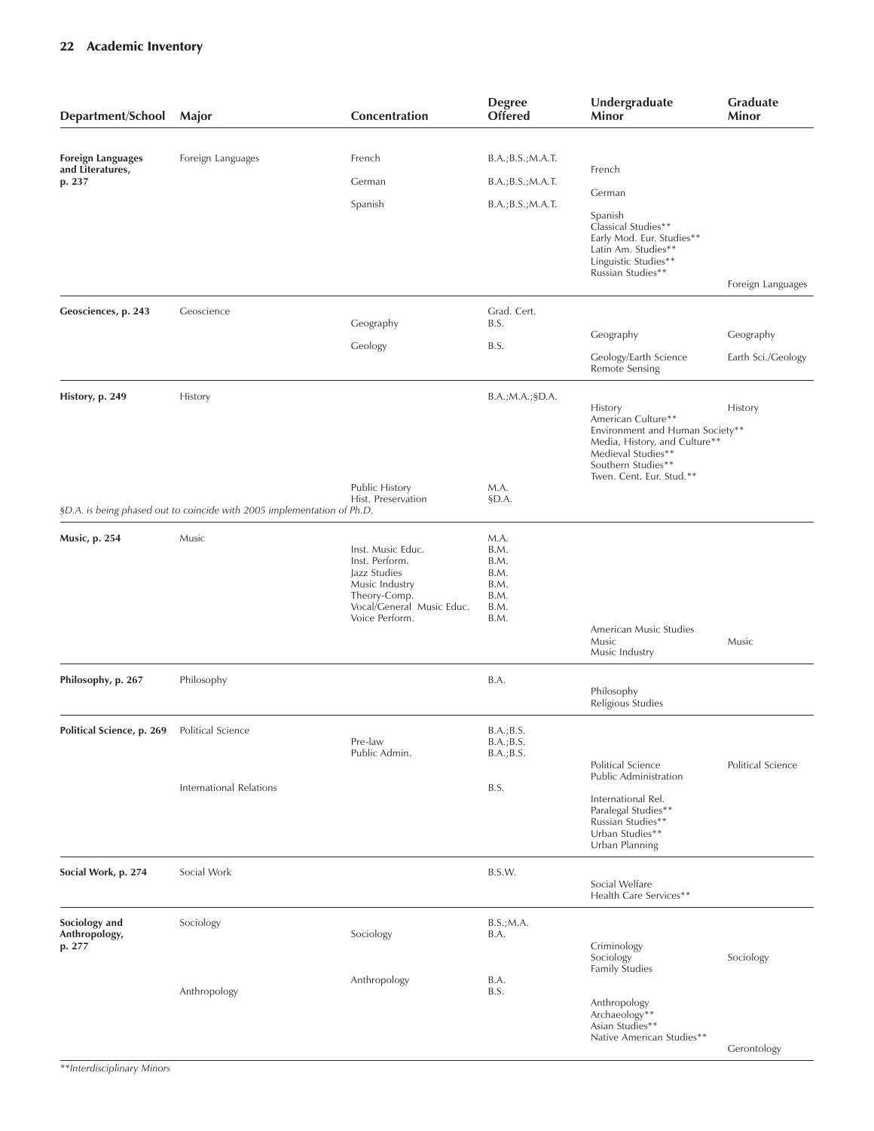| Department/School                            | Major                                                                   | Concentration                                                                                                                        | <b>Degree</b><br><b>Offered</b>                              | Undergraduate<br>Minor                                                                                                                                                    | Graduate<br>Minor  |
|----------------------------------------------|-------------------------------------------------------------------------|--------------------------------------------------------------------------------------------------------------------------------------|--------------------------------------------------------------|---------------------------------------------------------------------------------------------------------------------------------------------------------------------------|--------------------|
| <b>Foreign Languages</b><br>and Literatures, | Foreign Languages                                                       | French                                                                                                                               | B.A.; B.S.; M.A.T.                                           | French                                                                                                                                                                    |                    |
| p. 237                                       |                                                                         | German                                                                                                                               | B.A.; B.S.; M.A.T.                                           | German                                                                                                                                                                    |                    |
|                                              |                                                                         | Spanish                                                                                                                              | B.A.; B.S.; M.A.T.                                           | Spanish<br>Classical Studies**<br>Early Mod. Eur. Studies**<br>Latin Am. Studies**<br>Linguistic Studies**<br>Russian Studies**                                           | Foreign Languages  |
| Geosciences, p. 243                          | Geoscience                                                              |                                                                                                                                      | Grad. Cert.                                                  |                                                                                                                                                                           |                    |
|                                              |                                                                         | Geography                                                                                                                            | B.S.                                                         | Geography                                                                                                                                                                 | Geography          |
|                                              |                                                                         | Geology                                                                                                                              | B.S.                                                         | Geology/Earth Science<br>Remote Sensing                                                                                                                                   | Earth Sci./Geology |
| History, p. 249                              | History                                                                 |                                                                                                                                      | B.A.; M.A.; §D.A.                                            | History<br>American Culture**<br>Environment and Human Society**<br>Media, History, and Culture**<br>Medieval Studies**<br>Southern Studies**<br>Twen. Cent. Eur. Stud.** | History            |
|                                              | §D.A. is being phased out to coincide with 2005 implementation of Ph.D. | Public History<br>Hist. Preservation                                                                                                 | M.A.<br>§D.A.                                                |                                                                                                                                                                           |                    |
| <b>Music, p. 254</b>                         | Music                                                                   | Inst. Music Educ.<br>Inst. Perform.<br>Jazz Studies<br>Music Industry<br>Theory-Comp.<br>Vocal/General Music Educ.<br>Voice Perform. | M.A.<br>B.M.<br>B.M.<br>B.M.<br>B.M.<br>B.M.<br>B.M.<br>B.M. |                                                                                                                                                                           |                    |
|                                              |                                                                         |                                                                                                                                      |                                                              | American Music Studies<br>Music<br>Music Industry                                                                                                                         | Music              |
| Philosophy, p. 267                           | Philosophy                                                              |                                                                                                                                      | B.A.                                                         | Philosophy<br>Religious Studies                                                                                                                                           |                    |
| Political Science, p. 269 Political Science  |                                                                         | Pre-law<br>Public Admin.                                                                                                             | B.A.; B.S.<br>B.A.; B.S.<br>B.A.; B.S.                       | Political Science                                                                                                                                                         | Political Science  |
|                                              | <b>International Relations</b>                                          |                                                                                                                                      | B.S.                                                         | Public Administration<br>International Rel.<br>Paralegal Studies**<br>Russian Studies**<br>Urban Studies**<br>Urban Planning                                              |                    |
| Social Work, p. 274                          | Social Work                                                             |                                                                                                                                      | B.S.W.                                                       | Social Welfare<br>Health Care Services**                                                                                                                                  |                    |
| Sociology and<br>Anthropology,<br>p. 277     | Sociology                                                               | Sociology                                                                                                                            | B.S.; M.A.<br>B.A.                                           | Criminology<br>Sociology                                                                                                                                                  | Sociology          |
|                                              | Anthropology                                                            | Anthropology                                                                                                                         | B.A.<br>B.S.                                                 | Family Studies<br>Anthropology<br>Archaeology**<br>Asian Studies**<br>Native American Studies**                                                                           | Gerontology        |